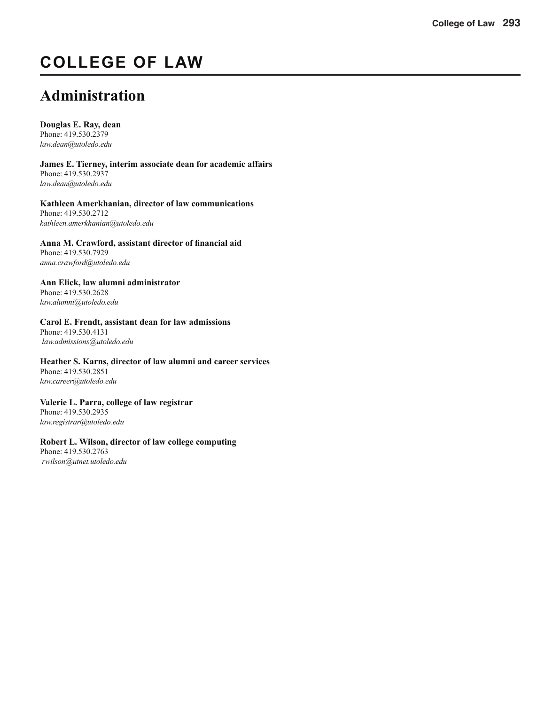# **COLLEGE OF LAW**

# **Administration**

**Douglas E. Ray, dean**

Phone: 419.530.2379 *law.dean@utoledo.edu*

**James E. Tierney, interim associate dean for academic affairs** Phone: 419.530.2937 *law.dean@utoledo.edu*

**Kathleen Amerkhanian, director of law communications** Phone: 419.530.2712 *kathleen.amerkhanian@utoledo.edu*

Anna M. Crawford, assistant director of financial aid Phone: 419.530.7929 *anna.crawford@utoledo.edu*

**Ann Elick, law alumni administrator** Phone: 419.530.2628 *law.alumni@utoledo.edu*

#### **Carol E. Frendt, assistant dean for law admissions**

Phone: 419.530.4131 *law.admissions@utoledo.edu*

**Heather S. Karns, director of law alumni and career services** Phone: 419.530.2851 *law.career@utoledo.edu*

**Valerie L. Parra, college of law registrar** Phone: 419.530.2935 *law.registrar@utoledo.edu*

#### **Robert L. Wilson, director of law college computing**

Phone: 419.530.2763 *rwilson@utnet.utoledo.edu*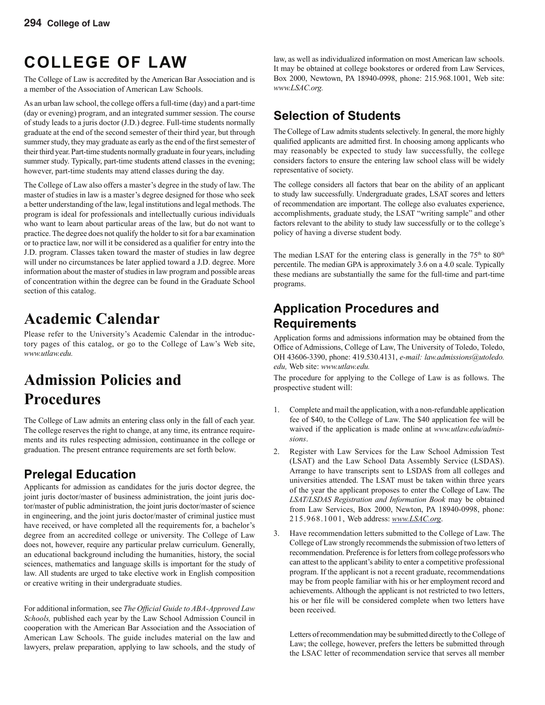# **COLLEGE OF LAW**

The College of Law is accredited by the American Bar Association and is a member of the Association of American Law Schools.

As an urban law school, the college offers a full-time (day) and a part-time (day or evening) program, and an integrated summer session. The course of study leads to a juris doctor (J.D.) degree. Full-time students normally graduate at the end of the second semester of their third year, but through summer study, they may graduate as early as the end of the first semester of their third year. Part-time students normally graduate in four years, including summer study. Typically, part-time students attend classes in the evening; however, part-time students may attend classes during the day.

The College of Law also offers a master's degree in the study of law. The master of studies in law is a master's degree designed for those who seek a better understanding of the law, legal institutions and legal methods. The program is ideal for professionals and intellectually curious individuals who want to learn about particular areas of the law, but do not want to practice. The degree does not qualify the holder to sit for a bar examination or to practice law, nor will it be considered as a qualifier for entry into the J.D. program. Classes taken toward the master of studies in law degree will under no circumstances be later applied toward a J.D. degree. More information about the master of studies in law program and possible areas of concentration within the degree can be found in the Graduate School section of this catalog.

# **Academic Calendar**

Please refer to the University's Academic Calendar in the introductory pages of this catalog, or go to the College of Law's Web site, *www.utlaw.edu.*

# **Admission Policies and Procedures**

The College of Law admits an entering class only in the fall of each year. The college reserves the right to change, at any time, its entrance requirements and its rules respecting admission, continuance in the college or graduation. The present entrance requirements are set forth below.

# **Prelegal Education**

Applicants for admission as candidates for the juris doctor degree, the joint juris doctor/master of business administration, the joint juris doctor/master of public administration, the joint juris doctor/master of science in engineering, and the joint juris doctor/master of criminal justice must have received, or have completed all the requirements for, a bachelor's degree from an accredited college or university. The College of Law does not, however, require any particular prelaw curriculum. Generally, an educational background including the humanities, history, the social sciences, mathematics and language skills is important for the study of law. All students are urged to take elective work in English composition or creative writing in their undergraduate studies.

For additional information, see *The Official Guide to ABA-Approved Law Schools,* published each year by the Law School Admission Council in cooperation with the American Bar Association and the Association of American Law Schools. The guide includes material on the law and lawyers, prelaw preparation, applying to law schools, and the study of

law, as well as individualized information on most American law schools. It may be obtained at college bookstores or ordered from Law Services, Box 2000, Newtown, PA 18940-0998, phone: 215.968.1001, Web site: *www.LSAC.org.*

## **Selection of Students**

The College of Law admits students selectively. In general, the more highly qualified applicants are admitted first. In choosing among applicants who may reasonably be expected to study law successfully, the college considers factors to ensure the entering law school class will be widely representative of society.

The college considers all factors that bear on the ability of an applicant to study law successfully. Undergraduate grades, LSAT scores and letters of recommendation are important. The college also evaluates experience, accomplishments, graduate study, the LSAT "writing sample" and other factors relevant to the ability to study law successfully or to the college's policy of having a diverse student body.

The median LSAT for the entering class is generally in the  $75<sup>th</sup>$  to  $80<sup>th</sup>$ percentile. The median GPA is approximately 3.6 on a 4.0 scale. Typically these medians are substantially the same for the full-time and part-time programs.

### **Application Procedures and Requirements**

Application forms and admissions information may be obtained from the Office of Admissions, College of Law, The University of Toledo, Toledo, OH 43606-3390, phone: 419.530.4131, *e-mail: law.admissions@utoledo. edu,* Web site: *www.utlaw.edu.*

The procedure for applying to the College of Law is as follows. The prospective student will:

- 1. Complete and mail the application, with a non-refundable application fee of \$40, to the College of Law. The \$40 application fee will be waived if the application is made online at *www.utlaw.edu/admissions*.
- 2. Register with Law Services for the Law School Admission Test (LSAT) and the Law School Data Assembly Service (LSDAS). Arrange to have transcripts sent to LSDAS from all colleges and universities attended. The LSAT must be taken within three years of the year the applicant proposes to enter the College of Law. The *LSAT/LSDAS Registration and Information Book* may be obtained from Law Services, Box 2000, Newton, PA 18940-0998, phone: 215.968.1001, Web address: *www.LSAC.org*.
- 3. Have recommendation letters submitted to the College of Law. The College of Law strongly recommends the submission of two letters of recommendation. Preference is for letters from college professors who can attest to the applicant's ability to enter a competitive professional program. If the applicant is not a recent graduate, recommendations may be from people familiar with his or her employment record and achievements. Although the applicant is not restricted to two letters, his or her file will be considered complete when two letters have been received.

Letters of recommendation may be submitted directly to the College of Law; the college, however, prefers the letters be submitted through the LSAC letter of recommendation service that serves all member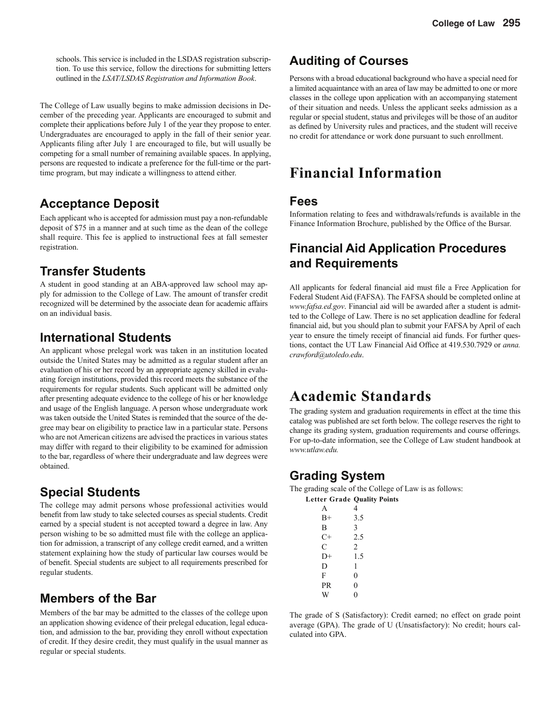schools. This service is included in the LSDAS registration subscription. To use this service, follow the directions for submitting letters outlined in the *LSAT/LSDAS Registration and Information Book*.

The College of Law usually begins to make admission decisions in December of the preceding year. Applicants are encouraged to submit and complete their applications before July 1 of the year they propose to enter. Undergraduates are encouraged to apply in the fall of their senior year. Applicants filing after July 1 are encouraged to file, but will usually be competing for a small number of remaining available spaces. In applying, persons are requested to indicate a preference for the full-time or the parttime program, but may indicate a willingness to attend either.

### **Acceptance Deposit**

Each applicant who is accepted for admission must pay a non-refundable deposit of \$75 in a manner and at such time as the dean of the college shall require. This fee is applied to instructional fees at fall semester registration.

### **Transfer Students**

A student in good standing at an ABA-approved law school may apply for admission to the College of Law. The amount of transfer credit recognized will be determined by the associate dean for academic affairs on an individual basis.

### **International Students**

An applicant whose prelegal work was taken in an institution located outside the United States may be admitted as a regular student after an evaluation of his or her record by an appropriate agency skilled in evaluating foreign institutions, provided this record meets the substance of the requirements for regular students. Such applicant will be admitted only after presenting adequate evidence to the college of his or her knowledge and usage of the English language. A person whose undergraduate work was taken outside the United States is reminded that the source of the degree may bear on eligibility to practice law in a particular state. Persons who are not American citizens are advised the practices in various states may differ with regard to their eligibility to be examined for admission to the bar, regardless of where their undergraduate and law degrees were obtained.

### **Special Students**

The college may admit persons whose professional activities would benefit from law study to take selected courses as special students. Credit earned by a special student is not accepted toward a degree in law. Any person wishing to be so admitted must file with the college an application for admission, a transcript of any college credit earned, and a written statement explaining how the study of particular law courses would be of benefit. Special students are subject to all requirements prescribed for regular students.

# **Members of the Bar**

Members of the bar may be admitted to the classes of the college upon an application showing evidence of their prelegal education, legal education, and admission to the bar, providing they enroll without expectation of credit. If they desire credit, they must qualify in the usual manner as regular or special students.

# **Auditing of Courses**

Persons with a broad educational background who have a special need for a limited acquaintance with an area of law may be admitted to one or more classes in the college upon application with an accompanying statement of their situation and needs. Unless the applicant seeks admission as a regular or special student, status and privileges will be those of an auditor as defined by University rules and practices, and the student will receive no credit for attendance or work done pursuant to such enrollment.

# **Financial Information**

### **Fees**

Information relating to fees and withdrawals/refunds is available in the Finance Information Brochure, published by the Office of the Bursar.

### **Financial Aid Application Procedures and Requirements**

All applicants for federal financial aid must file a Free Application for Federal Student Aid (FAFSA). The FAFSA should be completed online at *www.fafsa.ed.gov*. Financial aid will be awarded after a student is admitted to the College of Law. There is no set application deadline for federal financial aid, but you should plan to submit your FAFSA by April of each year to ensure the timely receipt of financial aid funds. For further questions, contact the UT Law Financial Aid Office at 419.530.7929 or *anna*. *crawford@utoledo.edu*.

# **Academic Standards**

The grading system and graduation requirements in effect at the time this catalog was published are set forth below. The college reserves the right to change its grading system, graduation requirements and course offerings. For up-to-date information, see the College of Law student handbook at *www.utlaw.edu.*

### **Grading System**

The grading scale of the College of Law is as follows: **Letter Grade Quality Points**

| 4              |
|----------------|
| 3.5            |
| 3              |
| 2.5            |
| $\overline{c}$ |
| 1.5            |
| 1              |
| $\overline{0}$ |
| $\overline{0}$ |
| $\theta$       |
|                |

The grade of S (Satisfactory): Credit earned; no effect on grade point average (GPA). The grade of U (Unsatisfactory): No credit; hours calculated into GPA.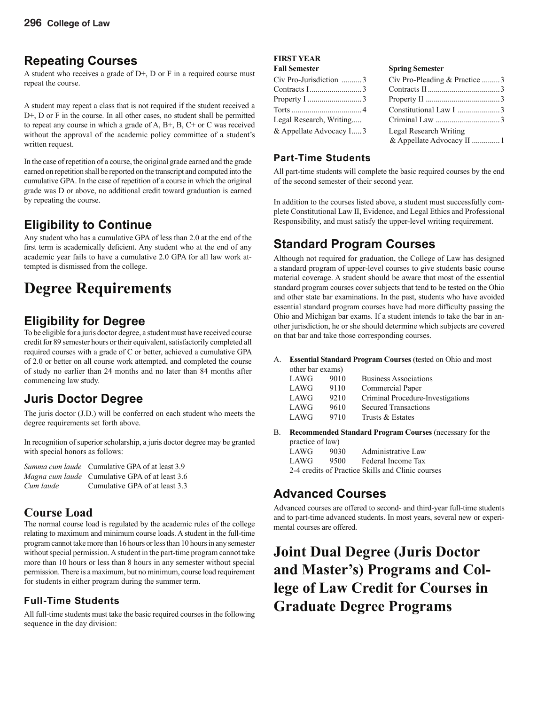### **Repeating Courses**

A student who receives a grade of  $D<sup>+</sup>$ , D or F in a required course must repeat the course.

A student may repeat a class that is not required if the student received a D+, D or F in the course. In all other cases, no student shall be permitted to repeat any course in which a grade of A, B+, B, C+ or C was received without the approval of the academic policy committee of a student's written request.

In the case of repetition of a course, the original grade earned and the grade earned on repetition shall be reported on the transcript and computed into the cumulative GPA. In the case of repetition of a course in which the original grade was D or above, no additional credit toward graduation is earned by repeating the course.

### **Eligibility to Continue**

Any student who has a cumulative GPA of less than 2.0 at the end of the first term is academically deficient. Any student who at the end of any academic year fails to have a cumulative 2.0 GPA for all law work attempted is dismissed from the college.

# **Degree Requirements**

### **Eligibility for Degree**

To be eligible for a juris doctor degree, a student must have received course credit for 89 semester hours or their equivalent, satisfactorily completed all required courses with a grade of C or better, achieved a cumulative GPA of 2.0 or better on all course work attempted, and completed the course of study no earlier than 24 months and no later than 84 months after commencing law study.

### **Juris Doctor Degree**

The juris doctor (J.D.) will be conferred on each student who meets the degree requirements set forth above.

In recognition of superior scholarship, a juris doctor degree may be granted with special honors as follows:

|           | <i>Summa cum laude</i> Cumulative GPA of at least 3.9 |
|-----------|-------------------------------------------------------|
|           | <i>Magna cum laude</i> Cumulative GPA of at least 3.6 |
| Cum laude | Cumulative GPA of at least 3.3                        |

### **Course Load**

The normal course load is regulated by the academic rules of the college relating to maximum and minimum course loads. A student in the full-time program cannot take more than 16 hours or less than 10 hours in any semester without special permission. A student in the part-time program cannot take more than 10 hours or less than 8 hours in any semester without special permission. There is a maximum, but no minimum, course load requirement for students in either program during the summer term.

#### **Full-Time Students**

All full-time students must take the basic required courses in the following sequence in the day division:

#### **FIRST YEAR**

| <b>Fall Semester</b>      | <b>Spring Semester</b>        |  |
|---------------------------|-------------------------------|--|
| Civ Pro-Jurisdiction 3    | Civ Pro-Pleading & Practice 3 |  |
| Contracts I3              |                               |  |
| Property I 3              |                               |  |
|                           | Constitutional Law I 3        |  |
| Legal Research, Writing   |                               |  |
| $&$ Appellate Advocacy I3 | Legal Research Writing        |  |
|                           |                               |  |

#### **Part-Time Students**

All part-time students will complete the basic required courses by the end of the second semester of their second year.

In addition to the courses listed above, a student must successfully complete Constitutional Law II, Evidence, and Legal Ethics and Professional Responsibility, and must satisfy the upper-level writing requirement.

## **Standard Program Courses**

Although not required for graduation, the College of Law has designed a standard program of upper-level courses to give students basic course material coverage. A student should be aware that most of the essential standard program courses cover subjects that tend to be tested on the Ohio and other state bar examinations. In the past, students who have avoided essential standard program courses have had more difficulty passing the Ohio and Michigan bar exams. If a student intends to take the bar in another jurisdiction, he or she should determine which subjects are covered on that bar and take those corresponding courses.

A. **Essential Standard Program Courses** (tested on Ohio and most

| other bar exams) |      |                                   |
|------------------|------|-----------------------------------|
| LAWG             | 9010 | <b>Business Associations</b>      |
| LAWG             | 9110 | Commercial Paper                  |
| LAWG             | 9210 | Criminal Procedure-Investigations |
| LAWG             | 9610 | <b>Secured Transactions</b>       |
| LAWG             | 9710 | Trusts & Estates                  |
|                  |      |                                   |

B. **Recommended Standard Program Courses** (necessary for the

| practice of law) |      |                                                   |
|------------------|------|---------------------------------------------------|
| LAWG             | 9030 | Administrative Law                                |
| LAWG             | 9500 | Federal Income Tax                                |
|                  |      | 2-4 credits of Practice Skills and Clinic courses |

### **Advanced Courses**

Advanced courses are offered to second- and third-year full-time students and to part-time advanced students. In most years, several new or experimental courses are offered.

# **Joint Dual Degree (Juris Doctor and Master's) Programs and College of Law Credit for Courses in Graduate Degree Programs**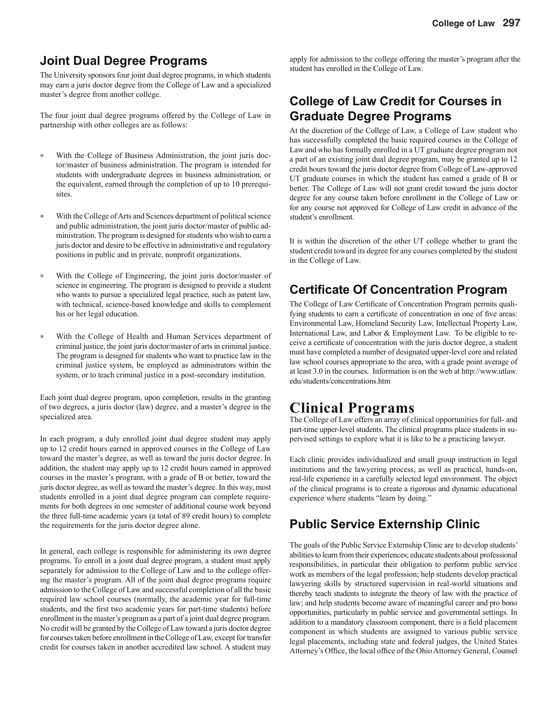### **Joint Dual Degree Programs**

The University sponsors four joint dual degree programs, in which students may earn a juris doctor degree from the College of Law and a specialized master's degree from another college.

The four joint dual degree programs offered by the College of Law in partnership with other colleges are as follows:

- ∗ With the College of Business Administration, the joint juris doctor/master of business administration. The program is intended for students with undergraduate degrees in business administration, or the equivalent, earned through the completion of up to 10 prerequisites.
- ∗ With the College of Arts and Sciences department of political science and public administration, the joint juris doctor/master of public administration. The program is designed for students who wish to earn a juris doctor and desire to be effective in administrative and regulatory positions in public and in private, nonprofit organizations.
- ∗ With the College of Engineering, the joint juris doctor/master of science in engineering. The program is designed to provide a student who wants to pursue a specialized legal practice, such as patent law, with technical, science-based knowledge and skills to complement his or her legal education.
- ∗ With the College of Health and Human Services department of criminal justice, the joint juris doctor/master of arts in criminal justice. The program is designed for students who want to practice law in the criminal justice system, be employed as administrators within the system, or to teach criminal justice in a post-secondary institution.

Each joint dual degree program, upon completion, results in the granting of two degrees, a juris doctor (law) degree, and a master's degree in the specialized area.

In each program, a duly enrolled joint dual degree student may apply up to 12 credit hours earned in approved courses in the College of Law toward the master's degree, as well as toward the juris doctor degree. In addition, the student may apply up to 12 credit hours earned in approved courses in the master's program, with a grade of B or better, toward the juris doctor degree, as well as toward the master's degree. In this way, most students enrolled in a joint dual degree program can complete requirements for both degrees in one semester of additional course work beyond the three full-time academic years (a total of 89 credit hours) to complete the requirements for the juris doctor degree alone.

In general, each college is responsible for administering its own degree programs. To enroll in a joint dual degree program, a student must apply separately for admission to the College of Law and to the college offering the master's program. All of the joint dual degree programs require admission to the College of Law and successful completion of all the basic required law school courses (normally, the academic year for full-time students, and the first two academic years for part-time students) before enrollment in the master's program as a part of a joint dual degree program. No credit will be granted by the College of Law toward a juris doctor degree for courses taken before enrollment in the College of Law, except for transfer credit for courses taken in another accredited law school. A student may

apply for admission to the college offering the master's program after the student has enrolled in the College of Law.

### **College of Law Credit for Courses in Graduate Degree Programs**

At the discretion of the College of Law, a College of Law student who has successfully completed the basic required courses in the College of Law and who has formally enrolled in a UT graduate degree program not a part of an existing joint dual degree program, may be granted up to 12 credit hours toward the juris doctor degree from College of Law-approved UT graduate courses in which the student has earned a grade of B or better. The College of Law will not grant credit toward the juris doctor degree for any course taken before enrollment in the College of Law or for any course not approved for College of Law credit in advance of the student's enrollment.

It is within the discretion of the other UT college whether to grant the student credit toward its degree for any courses completed by the student in the College of Law.

### **Certificate Of Concentration Program**

The College of Law Certificate of Concentration Program permits qualifying students to earn a certificate of concentration in one of five areas: Environmental Law, Homeland Security Law, Intellectual Property Law, International Law, and Labor & Employment Law. To be eligible to receive a certificate of concentration with the juris doctor degree, a student must have completed a number of designated upper-level core and related law school courses appropriate to the area, with a grade point average of at least 3.0 in the courses. Information is on the web at http://www.utlaw. edu/students/concentrations.htm

# **Clinical Programs**

The College of Law offers an array of clinical opportunities for full- and part-time upper-level students. The clinical programs place students in supervised settings to explore what it is like to be a practicing lawyer.

Each clinic provides individualized and small group instruction in legal institutions and the lawyering process, as well as practical, hands-on, real-life experience in a carefully selected legal environment. The object of the clinical programs is to create a rigorous and dynamic educational experience where students "learn by doing."

### **Public Service Externship Clinic**

The goals of the Public Service Externship Clinic are to develop students' abilities to learn from their experiences; educate students about professional responsibilities, in particular their obligation to perform public service work as members of the legal profession; help students develop practical lawyering skills by structured supervision in real-world situations and thereby teach students to integrate the theory of law with the practice of law; and help students become aware of meaningful career and pro bono opportunities, particularly in public service and governmental settings. In addition to a mandatory classroom component, there is a field placement component in which students are assigned to various public service legal placements, including state and federal judges, the United States Attorney's Office, the local office of the Ohio Attorney General, Counsel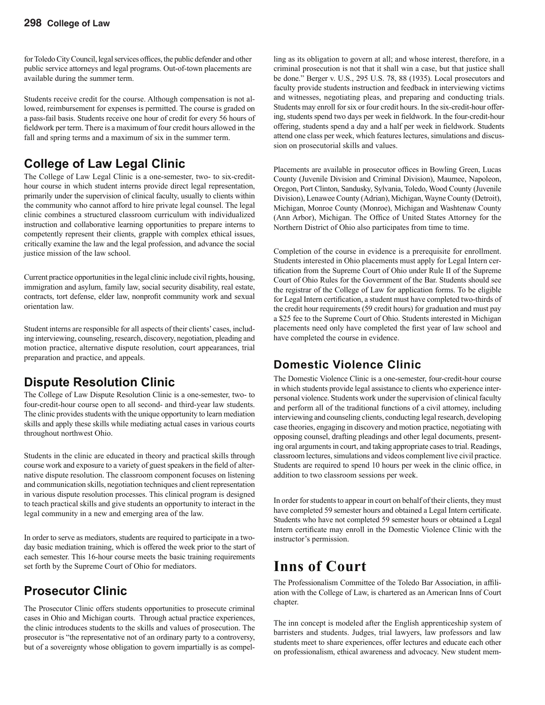for Toledo City Council, legal services offices, the public defender and other public service attorneys and legal programs. Out-of-town placements are available during the summer term.

Students receive credit for the course. Although compensation is not allowed, reimbursement for expenses is permitted. The course is graded on a pass-fail basis. Students receive one hour of credit for every 56 hours of fieldwork per term. There is a maximum of four credit hours allowed in the fall and spring terms and a maximum of six in the summer term.

### **College of Law Legal Clinic**

The College of Law Legal Clinic is a one-semester, two- to six-credithour course in which student interns provide direct legal representation, primarily under the supervision of clinical faculty, usually to clients within the community who cannot afford to hire private legal counsel. The legal clinic combines a structured classroom curriculum with individualized instruction and collaborative learning opportunities to prepare interns to competently represent their clients, grapple with complex ethical issues, critically examine the law and the legal profession, and advance the social justice mission of the law school.

Current practice opportunities in the legal clinic include civil rights, housing, immigration and asylum, family law, social security disability, real estate, contracts, tort defense, elder law, nonprofit community work and sexual orientation law.

Student interns are responsible for all aspects of their clients' cases, including interviewing, counseling, research, discovery, negotiation, pleading and motion practice, alternative dispute resolution, court appearances, trial preparation and practice, and appeals.

### **Dispute Resolution Clinic**

The College of Law Dispute Resolution Clinic is a one-semester, two- to four-credit-hour course open to all second- and third-year law students. The clinic provides students with the unique opportunity to learn mediation skills and apply these skills while mediating actual cases in various courts throughout northwest Ohio.

Students in the clinic are educated in theory and practical skills through course work and exposure to a variety of guest speakers in the field of alternative dispute resolution. The classroom component focuses on listening and communication skills, negotiation techniques and client representation in various dispute resolution processes. This clinical program is designed to teach practical skills and give students an opportunity to interact in the legal community in a new and emerging area of the law.

In order to serve as mediators, students are required to participate in a twoday basic mediation training, which is offered the week prior to the start of each semester. This 16-hour course meets the basic training requirements set forth by the Supreme Court of Ohio for mediators.

### **Prosecutor Clinic**

The Prosecutor Clinic offers students opportunities to prosecute criminal cases in Ohio and Michigan courts. Through actual practice experiences, the clinic introduces students to the skills and values of prosecution. The prosecutor is "the representative not of an ordinary party to a controversy, but of a sovereignty whose obligation to govern impartially is as compel-

ling as its obligation to govern at all; and whose interest, therefore, in a criminal prosecution is not that it shall win a case, but that justice shall be done." Berger v. U.S., 295 U.S. 78, 88 (1935). Local prosecutors and faculty provide students instruction and feedback in interviewing victims and witnesses, negotiating pleas, and preparing and conducting trials. Students may enroll for six or four credit hours. In the six-credit-hour offering, students spend two days per week in fieldwork. In the four-credit-hour offering, students spend a day and a half per week in fieldwork. Students attend one class per week, which features lectures, simulations and discussion on prosecutorial skills and values.

Placements are available in prosecutor offices in Bowling Green, Lucas County (Juvenile Division and Criminal Division), Maumee, Napoleon, Oregon, Port Clinton, Sandusky, Sylvania, Toledo, Wood County (Juvenile Division), Lenawee County (Adrian), Michigan, Wayne County (Detroit), Michigan, Monroe County (Monroe), Michigan and Washtenaw County (Ann Arbor), Michigan. The Office of United States Attorney for the Northern District of Ohio also participates from time to time.

Completion of the course in evidence is a prerequisite for enrollment. Students interested in Ohio placements must apply for Legal Intern certification from the Supreme Court of Ohio under Rule II of the Supreme Court of Ohio Rules for the Government of the Bar. Students should see the registrar of the College of Law for application forms. To be eligible for Legal Intern certification, a student must have completed two-thirds of the credit hour requirements (59 credit hours) for graduation and must pay a \$25 fee to the Supreme Court of Ohio. Students interested in Michigan placements need only have completed the first year of law school and have completed the course in evidence.

### **Domestic Violence Clinic**

The Domestic Violence Clinic is a one-semester, four-credit-hour course in which students provide legal assistance to clients who experience interpersonal violence. Students work under the supervision of clinical faculty and perform all of the traditional functions of a civil attorney, including interviewing and counseling clients, conducting legal research, developing case theories, engaging in discovery and motion practice, negotiating with opposing counsel, drafting pleadings and other legal documents, presenting oral arguments in court, and taking appropriate cases to trial. Readings, classroom lectures, simulations and videos complement live civil practice. Students are required to spend 10 hours per week in the clinic office, in addition to two classroom sessions per week.

In order for students to appear in court on behalf of their clients, they must have completed 59 semester hours and obtained a Legal Intern certificate. Students who have not completed 59 semester hours or obtained a Legal Intern certificate may enroll in the Domestic Violence Clinic with the instructor's permission.

# **Inns of Court**

The Professionalism Committee of the Toledo Bar Association, in affiliation with the College of Law, is chartered as an American Inns of Court chapter.

The inn concept is modeled after the English apprenticeship system of barristers and students. Judges, trial lawyers, law professors and law students meet to share experiences, offer lectures and educate each other on professionalism, ethical awareness and advocacy. New student mem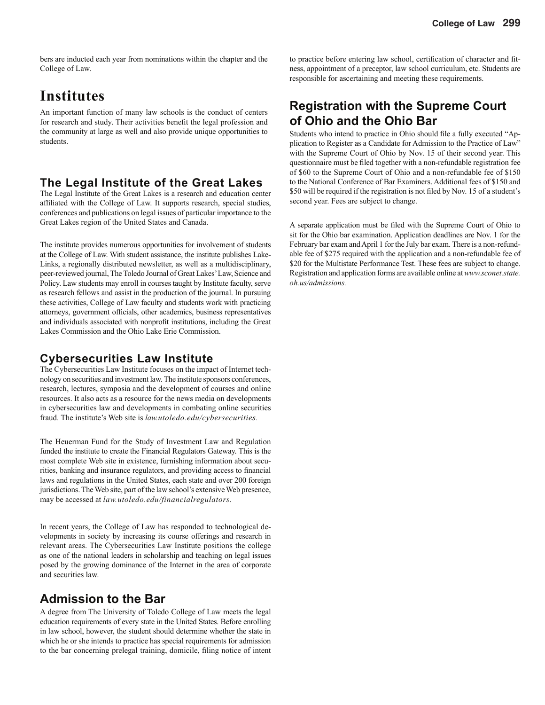bers are inducted each year from nominations within the chapter and the College of Law.

# **Institutes**

An important function of many law schools is the conduct of centers for research and study. Their activities benefit the legal profession and the community at large as well and also provide unique opportunities to students.

#### **The Legal Institute of the Great Lakes**

The Legal Institute of the Great Lakes is a research and education center affiliated with the College of Law. It supports research, special studies, conferences and publications on legal issues of particular importance to the Great Lakes region of the United States and Canada.

The institute provides numerous opportunities for involvement of students at the College of Law. With student assistance, the institute publishes Lake-Links, a regionally distributed newsletter, as well as a multidisciplinary, peer-reviewed journal, The Toledo Journal of Great Lakes' Law, Science and Policy. Law students may enroll in courses taught by Institute faculty, serve as research fellows and assist in the production of the journal. In pursuing these activities, College of Law faculty and students work with practicing attorneys, government officials, other academics, business representatives and individuals associated with nonprofit institutions, including the Great Lakes Commission and the Ohio Lake Erie Commission.

#### **Cybersecurities Law Institute**

The Cybersecurities Law Institute focuses on the impact of Internet technology on securities and investment law. The institute sponsors conferences, research, lectures, symposia and the development of courses and online resources. It also acts as a resource for the news media on developments in cybersecurities law and developments in combating online securities fraud. The institute's Web site is *law.utoledo.edu/cybersecurities.*

The Heuerman Fund for the Study of Investment Law and Regulation funded the institute to create the Financial Regulators Gateway. This is the most complete Web site in existence, furnishing information about securities, banking and insurance regulators, and providing access to financial laws and regulations in the United States, each state and over 200 foreign jurisdictions. The Web site, part of the law school's extensive Web presence, may be accessed at *law.utoledo.edu/financialregulators.*

In recent years, the College of Law has responded to technological developments in society by increasing its course offerings and research in relevant areas. The Cybersecurities Law Institute positions the college as one of the national leaders in scholarship and teaching on legal issues posed by the growing dominance of the Internet in the area of corporate and securities law.

### **Admission to the Bar**

A degree from The University of Toledo College of Law meets the legal education requirements of every state in the United States. Before enrolling in law school, however, the student should determine whether the state in which he or she intends to practice has special requirements for admission to the bar concerning prelegal training, domicile, filing notice of intent

to practice before entering law school, certification of character and fitness, appointment of a preceptor, law school curriculum, etc. Students are responsible for ascertaining and meeting these requirements.

### **Registration with the Supreme Court of Ohio and the Ohio Bar**

Students who intend to practice in Ohio should file a fully executed "Application to Register as a Candidate for Admission to the Practice of Law" with the Supreme Court of Ohio by Nov. 15 of their second year. This questionnaire must be filed together with a non-refundable registration fee of \$60 to the Supreme Court of Ohio and a non-refundable fee of \$150 to the National Conference of Bar Examiners. Additional fees of \$150 and \$50 will be required if the registration is not filed by Nov. 15 of a student's second year. Fees are subject to change.

A separate application must be filed with the Supreme Court of Ohio to sit for the Ohio bar examination. Application deadlines are Nov. 1 for the February bar exam and April 1 for the July bar exam. There is a non-refundable fee of \$275 required with the application and a non-refundable fee of \$20 for the Multistate Performance Test. These fees are subject to change. Registration and application forms are available online at *www.sconet.state. oh.us/admissions.*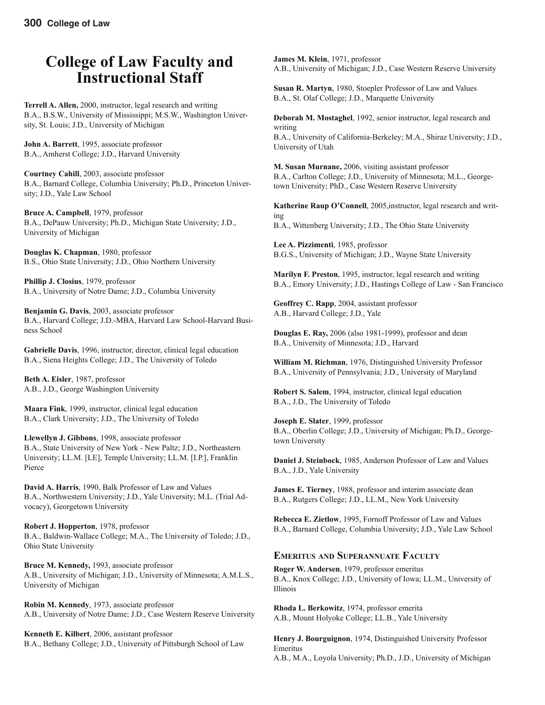# **College of Law Faculty and Instructional Staff**

**Terrell A. Allen,** 2000, instructor, legal research and writing B.A., B.S.W., University of Mississippi; M.S.W., Washington University, St. Louis; J.D., University of Michigan

**John A. Barrett**, 1995, associate professor B.A., Amherst College; J.D., Harvard University

**Courtney Cahill**, 2003, associate professor B.A., Barnard College, Columbia University; Ph.D., Princeton University; J.D., Yale Law School

**Bruce A. Campbell**, 1979, professor B.A., DePauw University; Ph.D., Michigan State University; J.D., University of Michigan

**Douglas K. Chapman**, 1980, professor B.S., Ohio State University; J.D., Ohio Northern University

**Phillip J. Closius**, 1979, professor B.A., University of Notre Dame; J.D., Columbia University

**Benjamin G. Davis**, 2003, associate professor B.A., Harvard College; J.D.-MBA, Harvard Law School-Harvard Business School

**Gabrielle Davis**, 1996, instructor, director, clinical legal education B.A., Siena Heights College; J.D., The University of Toledo

**Beth A. Eisler**, 1987, professor A.B., J.D., George Washington University

**Maara Fink**, 1999, instructor, clinical legal education B.A., Clark University; J.D., The University of Toledo

**Llewellyn J. Gibbons**, 1998, associate professor B.A., State University of New York - New Paltz; J.D., Northeastern University; LL.M. [LE], Temple University; LL.M. [I.P.], Franklin Pierce

**David A. Harris**, 1990, Balk Professor of Law and Values B.A., Northwestern University; J.D., Yale University; M.L. (Trial Advocacy), Georgetown University

**Robert J. Hopperton**, 1978, professor B.A., Baldwin-Wallace College; M.A., The University of Toledo; J.D., Ohio State University

**Bruce M. Kennedy,** 1993, associate professor A.B., University of Michigan; J.D., University of Minnesota; A.M.L.S., University of Michigan

**Robin M. Kennedy**, 1973, associate professor A.B., University of Notre Dame; J.D., Case Western Reserve University

**Kenneth E. Kilbert**, 2006, assistant professor B.A., Bethany College; J.D., University of Pittsburgh School of Law **James M. Klein**, 1971, professor A.B., University of Michigan; J.D., Case Western Reserve University

**Susan R. Martyn**, 1980, Stoepler Professor of Law and Values B.A., St. Olaf College; J.D., Marquette University

**Deborah M. Mostaghel**, 1992, senior instructor, legal research and writing B.A., University of California-Berkeley; M.A., Shiraz University; J.D., University of Utah

**M. Susan Murnane,** 2006, visiting assistant professor B.A., Carlton College; J.D., University of Minnesota; M.L., Georgetown University; PhD., Case Western Reserve University

Katherine Raup O'Connell, 2005, instructor, legal research and writing B.A., Wittenberg University; J.D., The Ohio State University

**Lee A. Pizzimenti**, 1985, professor B.G.S., University of Michigan; J.D., Wayne State University

**Marilyn F. Preston**, 1995, instructor, legal research and writing B.A., Emory University; J.D., Hastings College of Law - San Francisco

**Geoffrey C. Rapp**, 2004, assistant professor A.B., Harvard College; J.D., Yale

**Douglas E. Ray,** 2006 (also 1981-1999), professor and dean B.A., University of Minnesota; J.D., Harvard

**William M. Richman**, 1976, Distinguished University Professor B.A., University of Pennsylvania; J.D., University of Maryland

**Robert S. Salem**, 1994, instructor, clinical legal education B.A., J.D., The University of Toledo

**Joseph E. Slater**, 1999, professor B.A., Oberlin College; J.D., University of Michigan; Ph.D., Georgetown University

**Daniel J. Steinbock**, 1985, Anderson Professor of Law and Values B.A., J.D., Yale University

**James E. Tierney**, 1988, professor and interim associate dean B.A., Rutgers College; J.D., LL.M., New York University

**Rebecca E. Zietlow**, 1995, Fornoff Professor of Law and Values B.A., Barnard College, Columbia University; J.D., Yale Law School

#### **EMERITUS AND SUPERANNUATE FACULTY**

**Roger W. Andersen**, 1979, professor emeritus B.A., Knox College; J.D., University of Iowa; LL.M., University of Illinois

**Rhoda L. Berkowitz**, 1974, professor emerita A.B., Mount Holyoke College; LL.B., Yale University

**Henry J. Bourguignon**, 1974, Distinguished University Professor Emeritus

A.B., M.A., Loyola University; Ph.D., J.D., University of Michigan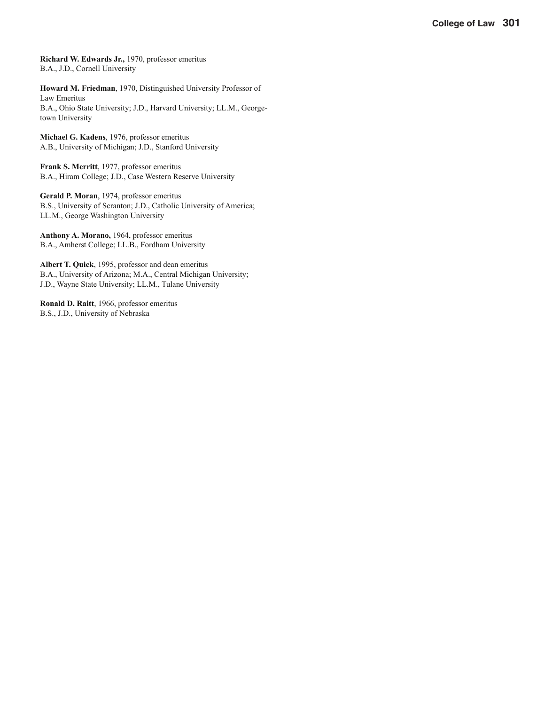**Richard W. Edwards Jr.,** 1970, professor emeritus B.A., J.D., Cornell University

**Howard M. Friedman**, 1970, Distinguished University Professor of Law Emeritus B.A., Ohio State University; J.D., Harvard University; LL.M., Georgetown University

**Michael G. Kadens**, 1976, professor emeritus A.B., University of Michigan; J.D., Stanford University

**Frank S. Merritt**, 1977, professor emeritus B.A., Hiram College; J.D., Case Western Reserve University

**Gerald P. Moran**, 1974, professor emeritus B.S., University of Scranton; J.D., Catholic University of America; LL.M., George Washington University

**Anthony A. Morano,** 1964, professor emeritus B.A., Amherst College; LL.B., Fordham University

**Albert T. Quick**, 1995, professor and dean emeritus B.A., University of Arizona; M.A., Central Michigan University; J.D., Wayne State University; LL.M., Tulane University

**Ronald D. Raitt**, 1966, professor emeritus B.S., J.D., University of Nebraska